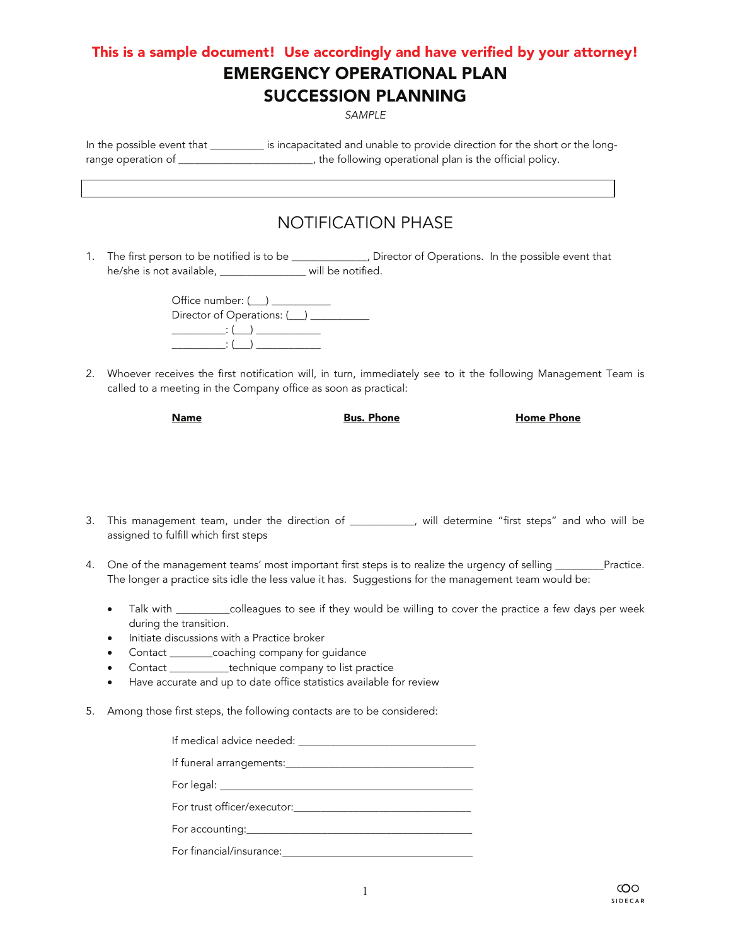## This is a sample document! Use accordingly and have verified by your attorney! EMERGENCY OPERATIONAL PLAN SUCCESSION PLANNING

*SAMPLE* 

In the possible event that \_\_\_\_\_\_\_\_\_\_ is incapacitated and unable to provide direction for the short or the longrange operation of \_\_\_\_\_\_\_\_\_\_\_\_\_\_\_\_\_\_\_\_\_\_\_\_\_, the following operational plan is the official policy.

# NOTIFICATION PHASE

1. The first person to be notified is to be \_\_\_\_\_\_\_\_\_\_\_\_\_, Director of Operations. In the possible event that he/she is not available, \_\_\_\_\_\_\_\_\_\_\_\_\_\_\_\_\_ will be notified.

| Director of Operations: (12) |  |  |  |  |
|------------------------------|--|--|--|--|
| $\cdot$ : ( $\cdot$ )        |  |  |  |  |
| $\cdot$ (                    |  |  |  |  |

2. Whoever receives the first notification will, in turn, immediately see to it the following Management Team is called to a meeting in the Company office as soon as practical:

**Name Bus. Phone Buse Home Phone** 

- 3. This management team, under the direction of \_\_\_\_\_\_\_\_\_\_\_\_, will determine "first steps" and who will be assigned to fulfill which first steps
- 4. One of the management teams' most important first steps is to realize the urgency of selling \_\_\_\_\_\_\_\_Practice. The longer a practice sits idle the less value it has. Suggestions for the management team would be:
	- Talk with \_\_\_\_\_\_\_\_\_\_\_colleagues to see if they would be willing to cover the practice a few days per week during the transition.
	- Initiate discussions with a Practice broker
	- Contact \_\_\_\_\_\_\_\_coaching company for guidance
	- Contact \_\_\_\_\_\_\_\_\_\_\_technique company to list practice
	- Have accurate and up to date office statistics available for review
- 5. Among those first steps, the following contacts are to be considered:

| If funeral arrangements:                                                                                                                                                                                                       |
|--------------------------------------------------------------------------------------------------------------------------------------------------------------------------------------------------------------------------------|
|                                                                                                                                                                                                                                |
|                                                                                                                                                                                                                                |
|                                                                                                                                                                                                                                |
| For financial/insurance: The state of the state of the state of the state of the state of the state of the state of the state of the state of the state of the state of the state of the state of the state of the state of th |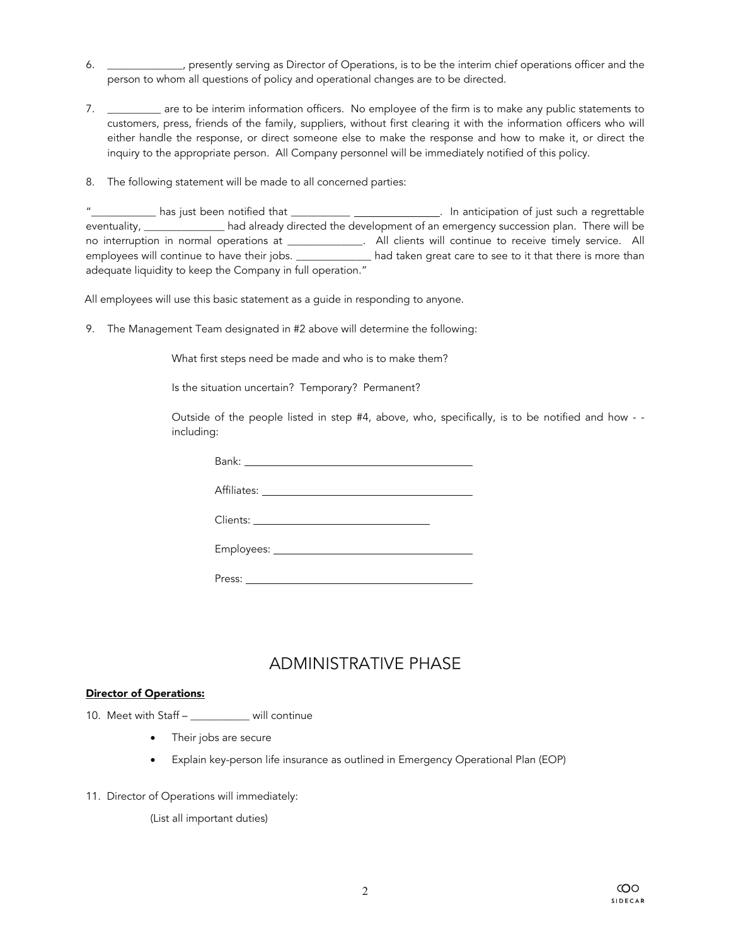- 6. \_\_\_\_\_\_\_\_\_\_\_\_\_\_, presently serving as Director of Operations, is to be the interim chief operations officer and the person to whom all questions of policy and operational changes are to be directed.
- 7. \_\_\_\_\_\_\_\_\_\_ are to be interim information officers. No employee of the firm is to make any public statements to customers, press, friends of the family, suppliers, without first clearing it with the information officers who will either handle the response, or direct someone else to make the response and how to make it, or direct the inquiry to the appropriate person. All Company personnel will be immediately notified of this policy.
- 8. The following statement will be made to all concerned parties:

| $^{\prime\prime}$<br>has just been notified that __                                                            | In anticipation of just such a regrettable                                          |
|----------------------------------------------------------------------------------------------------------------|-------------------------------------------------------------------------------------|
| eventuality, exercise and the set of the set of the set of the set of the set of the set of the set of the set | had already directed the development of an emergency succession plan. There will be |
| no interruption in normal operations at                                                                        | All clients will continue to receive timely service. All                            |
| employees will continue to have their jobs.                                                                    | had taken great care to see to it that there is more than                           |
| adequate liquidity to keep the Company in full operation."                                                     |                                                                                     |

All employees will use this basic statement as a guide in responding to anyone.

9. The Management Team designated in #2 above will determine the following:

What first steps need be made and who is to make them?

Is the situation uncertain? Temporary? Permanent?

Outside of the people listed in step #4, above, who, specifically, is to be notified and how - including:

| Bank: National Property of the Committee of the Committee of the Committee of the Committee of the Committee o |
|----------------------------------------------------------------------------------------------------------------|
|                                                                                                                |
|                                                                                                                |
|                                                                                                                |
|                                                                                                                |

### ADMINISTRATIVE PHASE

#### Director of Operations:

10. Meet with Staff – \_\_\_\_\_\_\_\_\_\_\_ will continue

- Their jobs are secure
- Explain key-person life insurance as outlined in Emergency Operational Plan (EOP)
- 11. Director of Operations will immediately:

(List all important duties)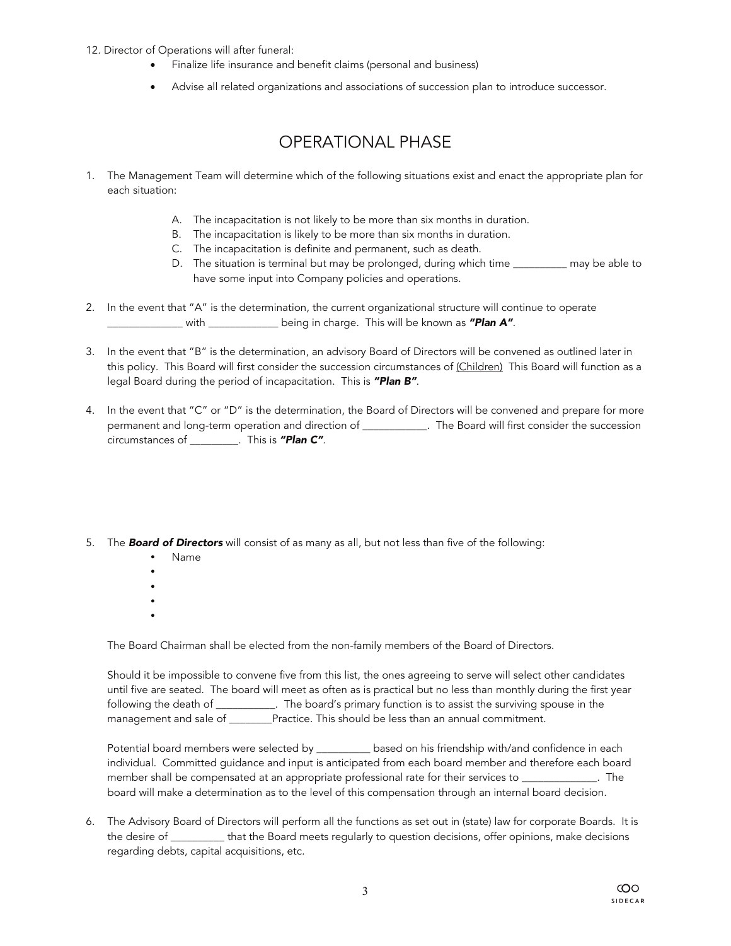- 12. Director of Operations will after funeral:
	- Finalize life insurance and benefit claims (personal and business)
	- Advise all related organizations and associations of succession plan to introduce successor.

### OPERATIONAL PHASE

- 1. The Management Team will determine which of the following situations exist and enact the appropriate plan for each situation:
	- A. The incapacitation is not likely to be more than six months in duration.
	- B. The incapacitation is likely to be more than six months in duration.
	- C. The incapacitation is definite and permanent, such as death.
	- D. The situation is terminal but may be prolonged, during which time \_\_\_\_\_\_\_\_\_ may be able to have some input into Company policies and operations.
- 2. In the event that "A" is the determination, the current organizational structure will continue to operate \_\_\_\_\_\_\_\_\_\_\_\_\_\_ with \_\_\_\_\_\_\_\_\_\_\_\_\_ being in charge. This will be known as *"Plan A"*.
- 3. In the event that "B" is the determination, an advisory Board of Directors will be convened as outlined later in this policy. This Board will first consider the succession circumstances of (Children) This Board will function as a legal Board during the period of incapacitation. This is *"Plan B"*.
- 4. In the event that "C" or "D" is the determination, the Board of Directors will be convened and prepare for more permanent and long-term operation and direction of \_\_\_\_\_\_\_\_\_\_\_\_. The Board will first consider the succession circumstances of \_\_\_\_\_\_\_\_\_. This is *"Plan C"*.
- 5. The *Board of Directors* will consist of as many as all, but not less than five of the following:
	- Name
	- $\bullet$
	- $\bullet$
	- $\bullet$
	- $\bullet$

The Board Chairman shall be elected from the non-family members of the Board of Directors.

Should it be impossible to convene five from this list, the ones agreeing to serve will select other candidates until five are seated. The board will meet as often as is practical but no less than monthly during the first year following the death of \_\_\_\_\_\_\_\_\_\_\_. The board's primary function is to assist the surviving spouse in the management and sale of \_\_\_\_\_\_\_Practice. This should be less than an annual commitment.

Potential board members were selected by \_\_\_\_\_\_\_\_\_\_ based on his friendship with/and confidence in each individual. Committed guidance and input is anticipated from each board member and therefore each board member shall be compensated at an appropriate professional rate for their services to \_\_\_\_\_\_\_\_\_\_\_\_\_. The board will make a determination as to the level of this compensation through an internal board decision.

6. The Advisory Board of Directors will perform all the functions as set out in (state) law for corporate Boards. It is the desire of \_\_\_\_\_\_\_\_\_\_ that the Board meets regularly to question decisions, offer opinions, make decisions regarding debts, capital acquisitions, etc.